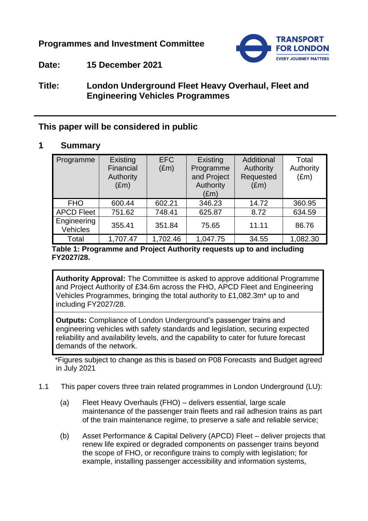# **Programmes and Investment Committee**



# **Date: 15 December 2021**

# **Title: London Underground Fleet Heavy Overhaul, Fleet and Engineering Vehicles Programmes**

# **This paper will be considered in public**

### **1 Summary**

| Programme               | Existing<br>Financial<br>Authority<br>$(\text{Em})$ | <b>EFC</b><br>$(\text{Em})$ | Existing<br>Programme<br>and Project<br>Authority<br>$(\text{Em})$ | Additional<br>Authority<br>Requested<br>$(\text{Em})$ | Total<br>Authority<br>$(\text{Em})$ |
|-------------------------|-----------------------------------------------------|-----------------------------|--------------------------------------------------------------------|-------------------------------------------------------|-------------------------------------|
| <b>FHO</b>              | 600.44                                              | 602.21                      | 346.23                                                             | 14.72                                                 | 360.95                              |
| <b>APCD Fleet</b>       | 751.62                                              | 748.41                      | 625.87                                                             | 8.72                                                  | 634.59                              |
| Engineering<br>Vehicles | 355.41                                              | 351.84                      | 75.65                                                              | 11.11                                                 | 86.76                               |
| Total                   | 1,707.47                                            | 1,702.46                    | 1,047.75                                                           | 34.55                                                 | 1,082.30                            |

#### **Table 1: Programme and Project Authority requests up to and including FY2027/28.**

**Authority Approval:** The Committee is asked to approve additional Programme and Project Authority of £34.6m across the FHO, APCD Fleet and Engineering Vehicles Programmes, bringing the total authority to £1,082.3m\* up to and including FY2027/28.

**Outputs:** Compliance of London Underground's passenger trains and engineering vehicles with safety standards and legislation, securing expected reliability and availability levels, and the capability to cater for future forecast demands of the network.

\*Figures subject to change as this is based on P08 Forecasts and Budget agreed in July 2021

- 1.1 This paper covers three train related programmes in London Underground (LU):
	- (a) Fleet Heavy Overhauls (FHO) delivers essential, large scale maintenance of the passenger train fleets and rail adhesion trains as part of the train maintenance regime, to preserve a safe and reliable service;
	- (b) Asset Performance & Capital Delivery (APCD) Fleet deliver projects that renew life expired or degraded components on passenger trains beyond the scope of FHO, or reconfigure trains to comply with legislation; for example, installing passenger accessibility and information systems,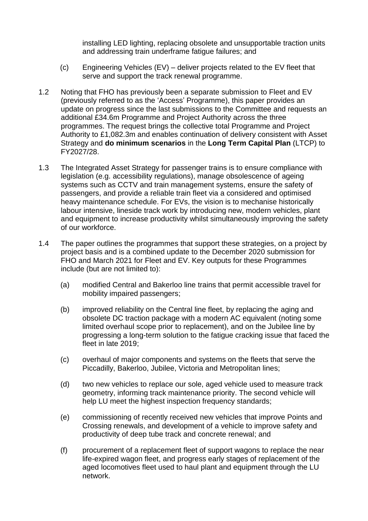installing LED lighting, replacing obsolete and unsupportable traction units and addressing train underframe fatigue failures; and

- (c) Engineering Vehicles (EV) deliver projects related to the EV fleet that serve and support the track renewal programme.
- 1.2 Noting that FHO has previously been a separate submission to Fleet and EV (previously referred to as the 'Access' Programme), this paper provides an update on progress since the last submissions to the Committee and requests an additional £34.6m Programme and Project Authority across the three programmes. The request brings the collective total Programme and Project Authority to £1,082.3m and enables continuation of delivery consistent with Asset Strategy and **do minimum scenarios** in the **Long Term Capital Plan** (LTCP) to FY2027/28.
- 1.3 The Integrated Asset Strategy for passenger trains is to ensure compliance with legislation (e.g. accessibility regulations), manage obsolescence of ageing systems such as CCTV and train management systems, ensure the safety of passengers, and provide a reliable train fleet via a considered and optimised heavy maintenance schedule. For EVs, the vision is to mechanise historically labour intensive, lineside track work by introducing new, modern vehicles, plant and equipment to increase productivity whilst simultaneously improving the safety of our workforce.
- 1.4 The paper outlines the programmes that support these strategies, on a project by project basis and is a combined update to the December 2020 submission for FHO and March 2021 for Fleet and EV. Key outputs for these Programmes include (but are not limited to):
	- (a) modified Central and Bakerloo line trains that permit accessible travel for mobility impaired passengers;
	- (b) improved reliability on the Central line fleet, by replacing the aging and obsolete DC traction package with a modern AC equivalent (noting some limited overhaul scope prior to replacement), and on the Jubilee line by progressing a long-term solution to the fatigue cracking issue that faced the fleet in late 2019;
	- (c) overhaul of major components and systems on the fleets that serve the Piccadilly, Bakerloo, Jubilee, Victoria and Metropolitan lines;
	- (d) two new vehicles to replace our sole, aged vehicle used to measure track geometry, informing track maintenance priority. The second vehicle will help LU meet the highest inspection frequency standards;
	- (e) commissioning of recently received new vehicles that improve Points and Crossing renewals, and development of a vehicle to improve safety and productivity of deep tube track and concrete renewal; and
	- (f) procurement of a replacement fleet of support wagons to replace the near life-expired wagon fleet, and progress early stages of replacement of the aged locomotives fleet used to haul plant and equipment through the LU network.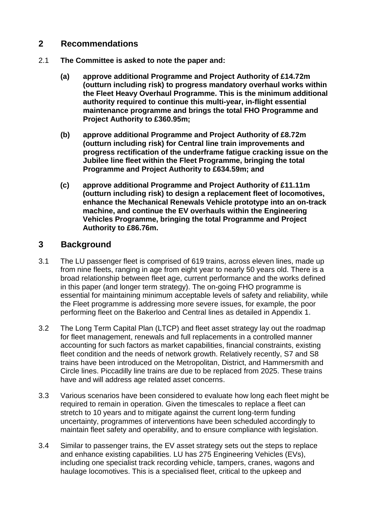## **2 Recommendations**

- 2.1 **The Committee is asked to note the paper and:**
	- **(a) approve additional Programme and Project Authority of £14.72m (outturn including risk) to progress mandatory overhaul works within the Fleet Heavy Overhaul Programme. This is the minimum additional authority required to continue this multi-year, in-flight essential maintenance programme and brings the total FHO Programme and Project Authority to £360.95m;**
	- **(b) approve additional Programme and Project Authority of £8.72m (outturn including risk) for Central line train improvements and progress rectification of the underframe fatigue cracking issue on the Jubilee line fleet within the Fleet Programme, bringing the total Programme and Project Authority to £634.59m; and**
	- **(c) approve additional Programme and Project Authority of £11.11m (outturn including risk) to design a replacement fleet of locomotives, enhance the Mechanical Renewals Vehicle prototype into an on-track machine, and continue the EV overhauls within the Engineering Vehicles Programme, bringing the total Programme and Project Authority to £86.76m.**

## **3 Background**

- 3.1 The LU passenger fleet is comprised of 619 trains, across eleven lines, made up from nine fleets, ranging in age from eight year to nearly 50 years old. There is a broad relationship between fleet age, current performance and the works defined in this paper (and longer term strategy). The on-going FHO programme is essential for maintaining minimum acceptable levels of safety and reliability, while the Fleet programme is addressing more severe issues, for example, the poor performing fleet on the Bakerloo and Central lines as detailed in Appendix 1.
- 3.2 The Long Term Capital Plan (LTCP) and fleet asset strategy lay out the roadmap for fleet management, renewals and full replacements in a controlled manner accounting for such factors as market capabilities, financial constraints, existing fleet condition and the needs of network growth. Relatively recently, S7 and S8 trains have been introduced on the Metropolitan, District, and Hammersmith and Circle lines. Piccadilly line trains are due to be replaced from 2025. These trains have and will address age related asset concerns.
- 3.3 Various scenarios have been considered to evaluate how long each fleet might be required to remain in operation. Given the timescales to replace a fleet can stretch to 10 years and to mitigate against the current long-term funding uncertainty, programmes of interventions have been scheduled accordingly to maintain fleet safety and operability, and to ensure compliance with legislation.
- 3.4 Similar to passenger trains, the EV asset strategy sets out the steps to replace and enhance existing capabilities. LU has 275 Engineering Vehicles (EVs), including one specialist track recording vehicle, tampers, cranes, wagons and haulage locomotives. This is a specialised fleet, critical to the upkeep and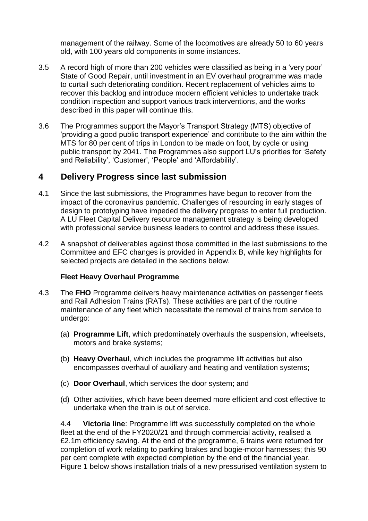management of the railway. Some of the locomotives are already 50 to 60 years old, with 100 years old components in some instances.

- 3.5 A record high of more than 200 vehicles were classified as being in a 'very poor' State of Good Repair, until investment in an EV overhaul programme was made to curtail such deteriorating condition. Recent replacement of vehicles aims to recover this backlog and introduce modern efficient vehicles to undertake track condition inspection and support various track interventions, and the works described in this paper will continue this.
- 3.6 The Programmes support the Mayor's Transport Strategy (MTS) objective of 'providing a good public transport experience' and contribute to the aim within the MTS for 80 per cent of trips in London to be made on foot, by cycle or using public transport by 2041. The Programmes also support LU's priorities for 'Safety and Reliability', 'Customer', 'People' and 'Affordability'.

### **4 Delivery Progress since last submission**

- 4.1 Since the last submissions, the Programmes have begun to recover from the impact of the coronavirus pandemic. Challenges of resourcing in early stages of design to prototyping have impeded the delivery progress to enter full production. A LU Fleet Capital Delivery resource management strategy is being developed with professional service business leaders to control and address these issues.
- 4.2 A snapshot of deliverables against those committed in the last submissions to the Committee and EFC changes is provided in Appendix B, while key highlights for selected projects are detailed in the sections below.

#### **Fleet Heavy Overhaul Programme**

- 4.3 The **FHO** Programme delivers heavy maintenance activities on passenger fleets and Rail Adhesion Trains (RATs). These activities are part of the routine maintenance of any fleet which necessitate the removal of trains from service to undergo:
	- (a) **Programme Lift**, which predominately overhauls the suspension, wheelsets, motors and brake systems;
	- (b) **Heavy Overhaul**, which includes the programme lift activities but also encompasses overhaul of auxiliary and heating and ventilation systems;
	- (c) **Door Overhaul**, which services the door system; and
	- (d) Other activities, which have been deemed more efficient and cost effective to undertake when the train is out of service.

4.4 **Victoria line**: Programme lift was successfully completed on the whole fleet at the end of the FY2020/21 and through commercial activity, realised a £2.1m efficiency saving. At the end of the programme, 6 trains were returned for completion of work relating to parking brakes and bogie-motor harnesses; this 90 per cent complete with expected completion by the end of the financial year. Figure 1 below shows installation trials of a new pressurised ventilation system to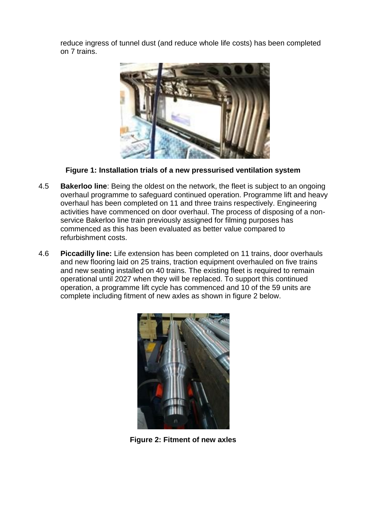reduce ingress of tunnel dust (and reduce whole life costs) has been completed on 7 trains.



**Figure 1: Installation trials of a new pressurised ventilation system**

- 4.5 **Bakerloo line**: Being the oldest on the network, the fleet is subject to an ongoing overhaul programme to safeguard continued operation. Programme lift and heavy overhaul has been completed on 11 and three trains respectively. Engineering activities have commenced on door overhaul. The process of disposing of a nonservice Bakerloo line train previously assigned for filming purposes has commenced as this has been evaluated as better value compared to refurbishment costs.
- 4.6 **Piccadilly line:** Life extension has been completed on 11 trains, door overhauls and new flooring laid on 25 trains, traction equipment overhauled on five trains and new seating installed on 40 trains. The existing fleet is required to remain operational until 2027 when they will be replaced. To support this continued operation, a programme lift cycle has commenced and 10 of the 59 units are complete including fitment of new axles as shown in figure 2 below.



**Figure 2: Fitment of new axles**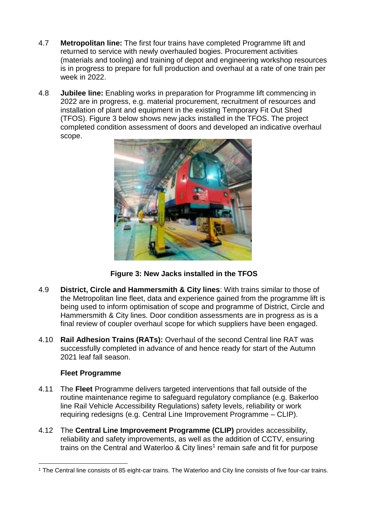- 4.7 **Metropolitan line:** The first four trains have completed Programme lift and returned to service with newly overhauled bogies. Procurement activities (materials and tooling) and training of depot and engineering workshop resources is in progress to prepare for full production and overhaul at a rate of one train per week in 2022.
- 4.8 **Jubilee line:** Enabling works in preparation for Programme lift commencing in 2022 are in progress, e.g. material procurement, recruitment of resources and installation of plant and equipment in the existing Temporary Fit Out Shed (TFOS). Figure 3 below shows new jacks installed in the TFOS. The project completed condition assessment of doors and developed an indicative overhaul scope.



**Figure 3: New Jacks installed in the TFOS**

- 4.9 **District, Circle and Hammersmith & City lines**: With trains similar to those of the Metropolitan line fleet, data and experience gained from the programme lift is being used to inform optimisation of scope and programme of District, Circle and Hammersmith & City lines. Door condition assessments are in progress as is a final review of coupler overhaul scope for which suppliers have been engaged.
- 4.10 **Rail Adhesion Trains (RATs):** Overhaul of the second Central line RAT was successfully completed in advance of and hence ready for start of the Autumn 2021 leaf fall season.

### **Fleet Programme**

- 4.11 The **Fleet** Programme delivers targeted interventions that fall outside of the routine maintenance regime to safeguard regulatory compliance (e.g. Bakerloo line Rail Vehicle Accessibility Regulations) safety levels, reliability or work requiring redesigns (e.g. Central Line Improvement Programme – CLIP).
- 4.12 The **Central Line Improvement Programme (CLIP)** provides accessibility, reliability and safety improvements, as well as the addition of CCTV, ensuring trains on the Central and Waterloo & City lines<sup>1</sup> remain safe and fit for purpose

l <sup>1</sup> The Central line consists of 85 eight-car trains. The Waterloo and City line consists of five four-car trains.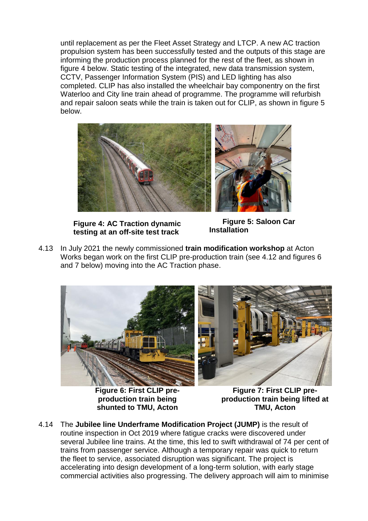until replacement as per the Fleet Asset Strategy and LTCP. A new AC traction propulsion system has been successfully tested and the outputs of this stage are informing the production process planned for the rest of the fleet, as shown in figure 4 below. Static testing of the integrated, new data transmission system, CCTV, Passenger Information System (PIS) and LED lighting has also completed. CLIP has also installed the wheelchair bay componentry on the first Waterloo and City line train ahead of programme. The programme will refurbish and repair saloon seats while the train is taken out for CLIP, as shown in figure 5 below.



**Figure 4: AC Traction dynamic testing at an off-site test track** 

**Figure 5: Saloon Car Installation**

4.13 In July 2021 the newly commissioned **train modification workshop** at Acton Works began work on the first CLIP pre-production train (see 4.12 and figures 6 and 7 below) moving into the AC Traction phase.



**Figure 6: First CLIP preproduction train being shunted to TMU, Acton**

**Figure 7: First CLIP preproduction train being lifted at TMU, Acton**

4.14 The **Jubilee line Underframe Modification Project (JUMP)** is the result of routine inspection in Oct 2019 where fatigue cracks were discovered under several Jubilee line trains. At the time, this led to swift withdrawal of 74 per cent of trains from passenger service. Although a temporary repair was quick to return the fleet to service, associated disruption was significant. The project is accelerating into design development of a long-term solution, with early stage commercial activities also progressing. The delivery approach will aim to minimise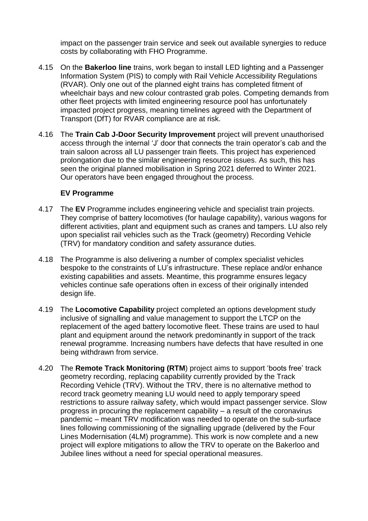impact on the passenger train service and seek out available synergies to reduce costs by collaborating with FHO Programme.

- 4.15 On the **Bakerloo line** trains, work began to install LED lighting and a Passenger Information System (PIS) to comply with Rail Vehicle Accessibility Regulations (RVAR). Only one out of the planned eight trains has completed fitment of wheelchair bays and new colour contrasted grab poles. Competing demands from other fleet projects with limited engineering resource pool has unfortunately impacted project progress, meaning timelines agreed with the Department of Transport (DfT) for RVAR compliance are at risk.
- 4.16 The **Train Cab J-Door Security Improvement** project will prevent unauthorised access through the internal 'J' door that connects the train operator's cab and the train saloon across all LU passenger train fleets. This project has experienced prolongation due to the similar engineering resource issues. As such, this has seen the original planned mobilisation in Spring 2021 deferred to Winter 2021. Our operators have been engaged throughout the process.

#### **EV Programme**

- 4.17 The **EV** Programme includes engineering vehicle and specialist train projects. They comprise of battery locomotives (for haulage capability), various wagons for different activities, plant and equipment such as cranes and tampers. LU also rely upon specialist rail vehicles such as the Track (geometry) Recording Vehicle (TRV) for mandatory condition and safety assurance duties.
- 4.18 The Programme is also delivering a number of complex specialist vehicles bespoke to the constraints of LU's infrastructure. These replace and/or enhance existing capabilities and assets. Meantime, this programme ensures legacy vehicles continue safe operations often in excess of their originally intended design life.
- 4.19 The **Locomotive Capability** project completed an options development study inclusive of signalling and value management to support the LTCP on the replacement of the aged battery locomotive fleet. These trains are used to haul plant and equipment around the network predominantly in support of the track renewal programme. Increasing numbers have defects that have resulted in one being withdrawn from service.
- 4.20 The **Remote Track Monitoring (RTM**) project aims to support 'boots free' track geometry recording, replacing capability currently provided by the Track Recording Vehicle (TRV). Without the TRV, there is no alternative method to record track geometry meaning LU would need to apply temporary speed restrictions to assure railway safety, which would impact passenger service. Slow progress in procuring the replacement capability – a result of the coronavirus pandemic – meant TRV modification was needed to operate on the sub-surface lines following commissioning of the signalling upgrade (delivered by the Four Lines Modernisation (4LM) programme). This work is now complete and a new project will explore mitigations to allow the TRV to operate on the Bakerloo and Jubilee lines without a need for special operational measures.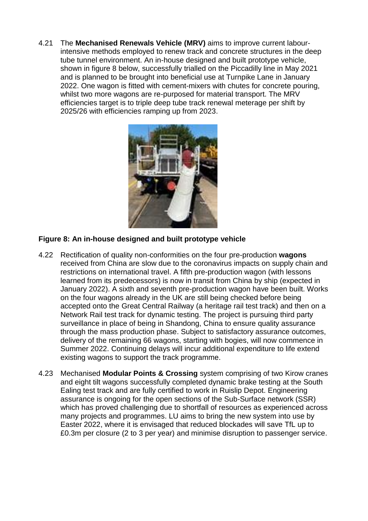4.21 The **Mechanised Renewals Vehicle (MRV)** aims to improve current labourintensive methods employed to renew track and concrete structures in the deep tube tunnel environment. An in-house designed and built prototype vehicle, shown in figure 8 below, successfully trialled on the Piccadilly line in May 2021 and is planned to be brought into beneficial use at Turnpike Lane in January 2022. One wagon is fitted with cement-mixers with chutes for concrete pouring, whilst two more wagons are re-purposed for material transport. The MRV efficiencies target is to triple deep tube track renewal meterage per shift by 2025/26 with efficiencies ramping up from 2023.



### **Figure 8: An in-house designed and built prototype vehicle**

- 4.22 Rectification of quality non-conformities on the four pre-production **wagons** received from China are slow due to the coronavirus impacts on supply chain and restrictions on international travel. A fifth pre-production wagon (with lessons learned from its predecessors) is now in transit from China by ship (expected in January 2022). A sixth and seventh pre-production wagon have been built. Works on the four wagons already in the UK are still being checked before being accepted onto the Great Central Railway (a heritage rail test track) and then on a Network Rail test track for dynamic testing. The project is pursuing third party surveillance in place of being in Shandong, China to ensure quality assurance through the mass production phase. Subject to satisfactory assurance outcomes, delivery of the remaining 66 wagons, starting with bogies, will now commence in Summer 2022. Continuing delays will incur additional expenditure to life extend existing wagons to support the track programme.
- 4.23 Mechanised **Modular Points & Crossing** system comprising of two Kirow cranes and eight tilt wagons successfully completed dynamic brake testing at the South Ealing test track and are fully certified to work in Ruislip Depot. Engineering assurance is ongoing for the open sections of the Sub-Surface network (SSR) which has proved challenging due to shortfall of resources as experienced across many projects and programmes. LU aims to bring the new system into use by Easter 2022, where it is envisaged that reduced blockades will save TfL up to £0.3m per closure (2 to 3 per year) and minimise disruption to passenger service.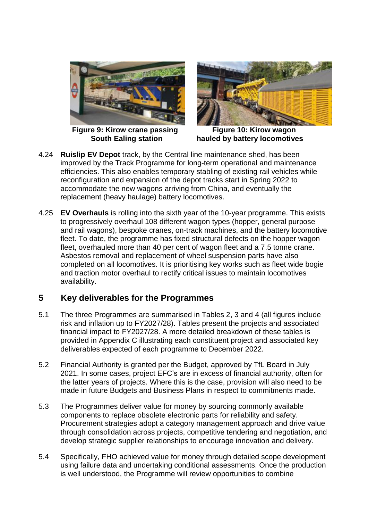

 **Figure 9: Kirow crane passing South Ealing station**



 **Figure 10: Kirow wagon hauled by battery locomotives**

- 4.24 **Ruislip EV Depot** track, by the Central line maintenance shed, has been improved by the Track Programme for long-term operational and maintenance efficiencies. This also enables temporary stabling of existing rail vehicles while reconfiguration and expansion of the depot tracks start in Spring 2022 to accommodate the new wagons arriving from China, and eventually the replacement (heavy haulage) battery locomotives.
- 4.25 **EV Overhauls** is rolling into the sixth year of the 10-year programme. This exists to progressively overhaul 108 different wagon types (hopper, general purpose and rail wagons), bespoke cranes, on-track machines, and the battery locomotive fleet. To date, the programme has fixed structural defects on the hopper wagon fleet, overhauled more than 40 per cent of wagon fleet and a 7.5 tonne crane. Asbestos removal and replacement of wheel suspension parts have also completed on all locomotives. It is prioritising key works such as fleet wide bogie and traction motor overhaul to rectify critical issues to maintain locomotives availability.

# **5 Key deliverables for the Programmes**

- 5.1 The three Programmes are summarised in Tables 2, 3 and 4 (all figures include risk and inflation up to FY2027/28). Tables present the projects and associated financial impact to FY2027/28. A more detailed breakdown of these tables is provided in Appendix C illustrating each constituent project and associated key deliverables expected of each programme to December 2022.
- 5.2 Financial Authority is granted per the Budget, approved by TfL Board in July 2021. In some cases, project EFC's are in excess of financial authority, often for the latter years of projects. Where this is the case, provision will also need to be made in future Budgets and Business Plans in respect to commitments made.
- 5.3 The Programmes deliver value for money by sourcing commonly available components to replace obsolete electronic parts for reliability and safety. Procurement strategies adopt a category management approach and drive value through consolidation across projects, competitive tendering and negotiation, and develop strategic supplier relationships to encourage innovation and delivery.
- 5.4 Specifically, FHO achieved value for money through detailed scope development using failure data and undertaking conditional assessments. Once the production is well understood, the Programme will review opportunities to combine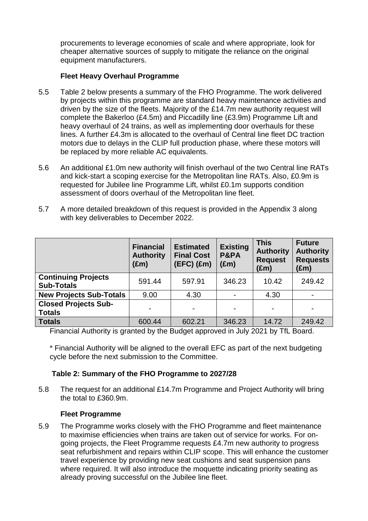procurements to leverage economies of scale and where appropriate, look for cheaper alternative sources of supply to mitigate the reliance on the original equipment manufacturers.

### **Fleet Heavy Overhaul Programme**

- 5.5 Table 2 below presents a summary of the FHO Programme. The work delivered by projects within this programme are standard heavy maintenance activities and driven by the size of the fleets. Majority of the £14.7m new authority request will complete the Bakerloo (£4.5m) and Piccadilly line (£3.9m) Programme Lift and heavy overhaul of 24 trains, as well as implementing door overhauls for these lines. A further £4.3m is allocated to the overhaul of Central line fleet DC traction motors due to delays in the CLIP full production phase, where these motors will be replaced by more reliable AC equivalents.
- 5.6 An additional £1.0m new authority will finish overhaul of the two Central line RATs and kick-start a scoping exercise for the Metropolitan line RATs. Also, £0.9m is requested for Jubilee line Programme Lift, whilst £0.1m supports condition assessment of doors overhaul of the Metropolitan line fleet.
- 5.7 A more detailed breakdown of this request is provided in the Appendix 3 along with key deliverables to December 2022.

|                                                 | <b>Financial</b><br><b>Authority</b><br>$(\text{Em})$ | <b>Estimated</b><br><b>Final Cost</b><br>$(EFC)$ $(fm)$ | <b>Existing</b><br>P&PA<br>$(\text{Em})$ | <b>This</b><br><b>Authority</b><br><b>Request</b><br>(£m) | <b>Future</b><br><b>Authority</b><br><b>Requests</b><br>(£m) |
|-------------------------------------------------|-------------------------------------------------------|---------------------------------------------------------|------------------------------------------|-----------------------------------------------------------|--------------------------------------------------------------|
| <b>Continuing Projects</b><br><b>Sub-Totals</b> | 591.44                                                | 597.91                                                  | 346.23                                   | 10.42                                                     | 249.42                                                       |
| <b>New Projects Sub-Totals</b>                  | 9.00                                                  | 4.30                                                    |                                          | 4.30                                                      |                                                              |
| <b>Closed Projects Sub-</b><br><b>Totals</b>    |                                                       |                                                         |                                          |                                                           |                                                              |
| <b>Totals</b>                                   | 600.44                                                | 602.21                                                  | 346.23                                   | 14.72                                                     | 249.42                                                       |

Financial Authority is granted by the Budget approved in July 2021 by TfL Board.

\* Financial Authority will be aligned to the overall EFC as part of the next budgeting cycle before the next submission to the Committee.

### **Table 2: Summary of the FHO Programme to 2027/28**

5.8 The request for an additional £14.7m Programme and Project Authority will bring the total to £360.9m.

### **Fleet Programme**

5.9 The Programme works closely with the FHO Programme and fleet maintenance to maximise efficiencies when trains are taken out of service for works. For ongoing projects, the Fleet Programme requests £4.7m new authority to progress seat refurbishment and repairs within CLIP scope. This will enhance the customer travel experience by providing new seat cushions and seat suspension pans where required. It will also introduce the moquette indicating priority seating as already proving successful on the Jubilee line fleet.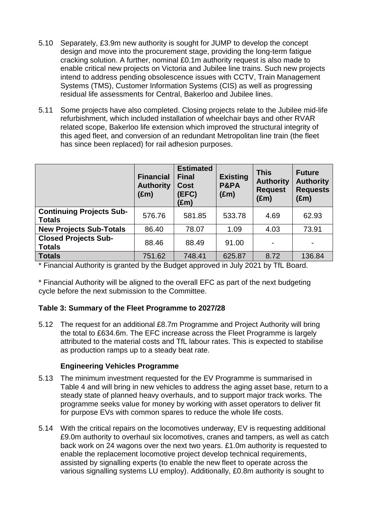- 5.10 Separately, £3.9m new authority is sought for JUMP to develop the concept design and move into the procurement stage, providing the long-term fatigue cracking solution. A further, nominal £0.1m authority request is also made to enable critical new projects on Victoria and Jubilee line trains. Such new projects intend to address pending obsolescence issues with CCTV, Train Management Systems (TMS), Customer Information Systems (CIS) as well as progressing residual life assessments for Central, Bakerloo and Jubilee lines.
- 5.11 Some projects have also completed. Closing projects relate to the Jubilee mid-life refurbishment, which included installation of wheelchair bays and other RVAR related scope, Bakerloo life extension which improved the structural integrity of this aged fleet, and conversion of an redundant Metropolitan line train (the fleet has since been replaced) for rail adhesion purposes.

|                                                  | <b>Financial</b><br><b>Authority</b><br>$(\text{Em})$ | <b>Estimated</b><br><b>Final</b><br><b>Cost</b><br>(EFC)<br>$(\text{Em})$ | <b>Existing</b><br>P&PA<br>$(\text{Em})$ | <b>This</b><br><b>Authority</b><br><b>Request</b><br>$(\text{Em})$ | <b>Future</b><br><b>Authority</b><br><b>Requests</b><br>$(\text{Em})$ |
|--------------------------------------------------|-------------------------------------------------------|---------------------------------------------------------------------------|------------------------------------------|--------------------------------------------------------------------|-----------------------------------------------------------------------|
| <b>Continuing Projects Sub-</b><br><b>Totals</b> | 576.76                                                | 581.85                                                                    | 533.78                                   | 4.69                                                               | 62.93                                                                 |
| <b>New Projects Sub-Totals</b>                   | 86.40                                                 | 78.07                                                                     | 1.09                                     | 4.03                                                               | 73.91                                                                 |
| <b>Closed Projects Sub-</b><br><b>Totals</b>     | 88.46                                                 | 88.49                                                                     | 91.00                                    |                                                                    |                                                                       |
| <b>Totals</b>                                    | 751.62                                                | 748.41                                                                    | 625.87                                   | 8.72                                                               | 136.84                                                                |

\* Financial Authority is granted by the Budget approved in July 2021 by TfL Board.

\* Financial Authority will be aligned to the overall EFC as part of the next budgeting cycle before the next submission to the Committee.

### **Table 3: Summary of the Fleet Programme to 2027/28**

5.12 The request for an additional £8.7m Programme and Project Authority will bring the total to £634.6m. The EFC increase across the Fleet Programme is largely attributed to the material costs and TfL labour rates. This is expected to stabilise as production ramps up to a steady beat rate.

### **Engineering Vehicles Programme**

- 5.13 The minimum investment requested for the EV Programme is summarised in Table 4 and will bring in new vehicles to address the aging asset base, return to a steady state of planned heavy overhauls, and to support major track works. The programme seeks value for money by working with asset operators to deliver fit for purpose EVs with common spares to reduce the whole life costs.
- 5.14 With the critical repairs on the locomotives underway, EV is requesting additional £9.0m authority to overhaul six locomotives, cranes and tampers, as well as catch back work on 24 wagons over the next two years. £1.0m authority is requested to enable the replacement locomotive project develop technical requirements, assisted by signalling experts (to enable the new fleet to operate across the various signalling systems LU employ). Additionally, £0.8m authority is sought to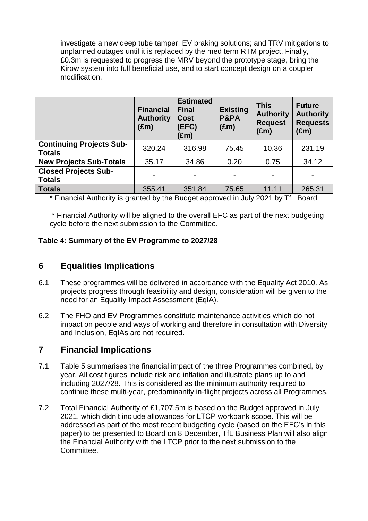investigate a new deep tube tamper, EV braking solutions; and TRV mitigations to unplanned outages until it is replaced by the med term RTM project. Finally, £0.3m is requested to progress the MRV beyond the prototype stage, bring the Kirow system into full beneficial use, and to start concept design on a coupler modification.

|                                                  | <b>Financial</b><br><b>Authority</b><br>$(\text{Em})$ | <b>Estimated</b><br><b>Final</b><br><b>Cost</b><br>(EFC)<br>(£m) | <b>Existing</b><br>P&PA<br>$(\text{Em})$ | <b>This</b><br><b>Authority</b><br><b>Request</b><br>$(\text{Em})$ | <b>Future</b><br><b>Authority</b><br><b>Requests</b><br>$(\text{Em})$ |
|--------------------------------------------------|-------------------------------------------------------|------------------------------------------------------------------|------------------------------------------|--------------------------------------------------------------------|-----------------------------------------------------------------------|
| <b>Continuing Projects Sub-</b><br><b>Totals</b> | 320.24                                                | 316.98                                                           | 75.45                                    | 10.36                                                              | 231.19                                                                |
| <b>New Projects Sub-Totals</b>                   | 35.17                                                 | 34.86                                                            | 0.20                                     | 0.75                                                               | 34.12                                                                 |
| <b>Closed Projects Sub-</b><br><b>Totals</b>     |                                                       |                                                                  |                                          |                                                                    |                                                                       |
| <b>Totals</b>                                    | 355.41                                                | 351.84                                                           | 75.65                                    | 11.11                                                              | 265.31                                                                |

\* Financial Authority is granted by the Budget approved in July 2021 by TfL Board.

\* Financial Authority will be aligned to the overall EFC as part of the next budgeting cycle before the next submission to the Committee.

### **Table 4: Summary of the EV Programme to 2027/28**

# **6 Equalities Implications**

- 6.1 These programmes will be delivered in accordance with the Equality Act 2010. As projects progress through feasibility and design, consideration will be given to the need for an Equality Impact Assessment (EqIA).
- 6.2 The FHO and EV Programmes constitute maintenance activities which do not impact on people and ways of working and therefore in consultation with Diversity and Inclusion, EqIAs are not required.

# **7 Financial Implications**

- 7.1 Table 5 summarises the financial impact of the three Programmes combined, by year. All cost figures include risk and inflation and illustrate plans up to and including 2027/28. This is considered as the minimum authority required to continue these multi-year, predominantly in-flight projects across all Programmes.
- 7.2 Total Financial Authority of £1,707.5m is based on the Budget approved in July 2021, which didn't include allowances for LTCP workbank scope. This will be addressed as part of the most recent budgeting cycle (based on the EFC's in this paper) to be presented to Board on 8 December, TfL Business Plan will also align the Financial Authority with the LTCP prior to the next submission to the Committee.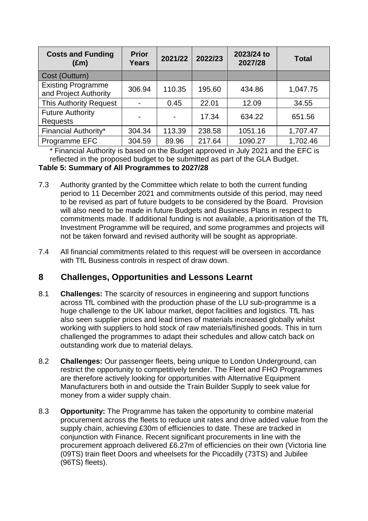| <b>Costs and Funding</b><br>$(\text{Em})$          | <b>Prior</b><br><b>Years</b> | 2021/22 | 2022/23 | 2023/24 to<br>2027/28 | <b>Total</b> |
|----------------------------------------------------|------------------------------|---------|---------|-----------------------|--------------|
| Cost (Outturn)                                     |                              |         |         |                       |              |
| <b>Existing Programme</b><br>and Project Authority | 306.94                       | 110.35  | 195.60  | 434.86                | 1,047.75     |
| <b>This Authority Request</b>                      |                              | 0.45    | 22.01   | 12.09                 | 34.55        |
| <b>Future Authority</b><br><b>Requests</b>         |                              |         | 17.34   | 634.22                | 651.56       |
| Financial Authority*                               | 304.34                       | 113.39  | 238.58  | 1051.16               | 1,707.47     |
| Programme EFC                                      | 304.59                       | 89.96   | 217.64  | 1090.27               | 1,702.46     |

\* Financial Authority is based on the Budget approved in July 2021 and the EFC is reflected in the proposed budget to be submitted as part of the GLA Budget.

#### **Table 5: Summary of All Programmes to 2027/28**

- 7.3 Authority granted by the Committee which relate to both the current funding period to 11 December 2021 and commitments outside of this period, may need to be revised as part of future budgets to be considered by the Board. Provision will also need to be made in future Budgets and Business Plans in respect to commitments made. If additional funding is not available, a prioritisation of the TfL Investment Programme will be required, and some programmes and projects will not be taken forward and revised authority will be sought as appropriate.
- 7.4 All financial commitments related to this request will be overseen in accordance with TfL Business controls in respect of draw down.

# **8 Challenges, Opportunities and Lessons Learnt**

- 8.1 **Challenges:** The scarcity of resources in engineering and support functions across TfL combined with the production phase of the LU sub-programme is a huge challenge to the UK labour market, depot facilities and logistics. TfL has also seen supplier prices and lead times of materials increased globally whilst working with suppliers to hold stock of raw materials/finished goods. This in turn challenged the programmes to adapt their schedules and allow catch back on outstanding work due to material delays.
- 8.2 **Challenges:** Our passenger fleets, being unique to London Underground, can restrict the opportunity to competitively tender. The Fleet and FHO Programmes are therefore actively looking for opportunities with Alternative Equipment Manufacturers both in and outside the Train Builder Supply to seek value for money from a wider supply chain.
- 8.3 **Opportunity:** The Programme has taken the opportunity to combine material procurement across the fleets to reduce unit rates and drive added value from the supply chain, achieving £30m of efficiencies to date. These are tracked in conjunction with Finance. Recent significant procurements in line with the procurement approach delivered £6.27m of efficiencies on their own (Victoria line (09TS) train fleet Doors and wheelsets for the Piccadilly (73TS) and Jubilee (96TS) fleets).